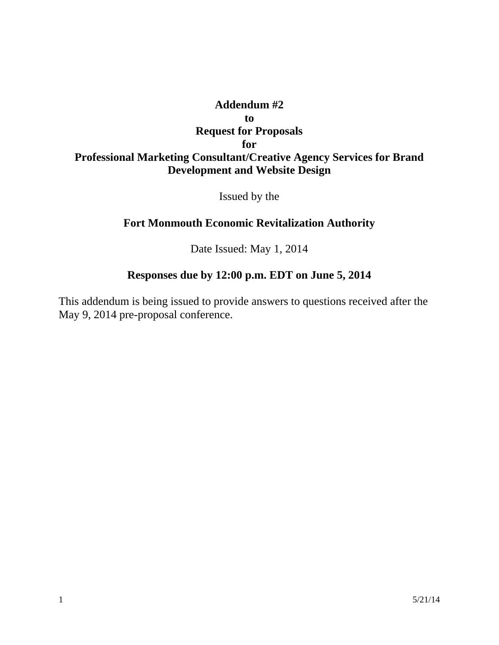## **Addendum #2 to Request for Proposals for Professional Marketing Consultant/Creative Agency Services for Brand Development and Website Design**

Issued by the

## **Fort Monmouth Economic Revitalization Authority**

Date Issued: May 1, 2014

## **Responses due by 12:00 p.m. EDT on June 5, 2014**

This addendum is being issued to provide answers to questions received after the May 9, 2014 pre-proposal conference.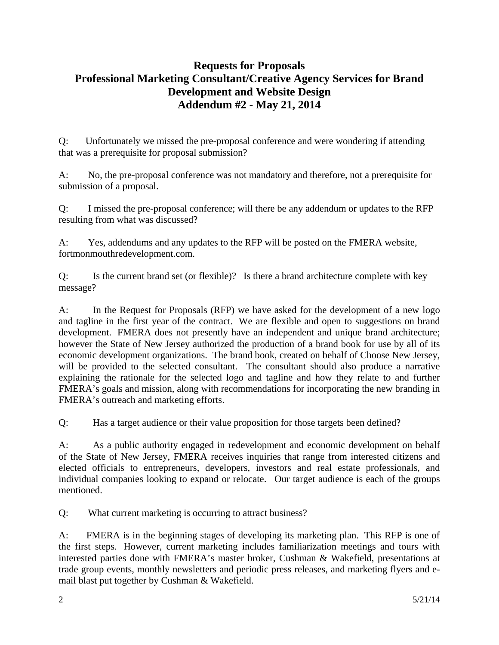## **Requests for Proposals Professional Marketing Consultant/Creative Agency Services for Brand Development and Website Design Addendum #2 - May 21, 2014**

Q: Unfortunately we missed the pre-proposal conference and were wondering if attending that was a prerequisite for proposal submission?

A: No, the pre-proposal conference was not mandatory and therefore, not a prerequisite for submission of a proposal.

Q: I missed the pre-proposal conference; will there be any addendum or updates to the RFP resulting from what was discussed?

A: Yes, addendums and any updates to the RFP will be posted on the FMERA website, fortmonmouthredevelopment.com.

Q: Is the current brand set (or flexible)? Is there a brand architecture complete with key message?

A: In the Request for Proposals (RFP) we have asked for the development of a new logo and tagline in the first year of the contract. We are flexible and open to suggestions on brand development. FMERA does not presently have an independent and unique brand architecture; however the State of New Jersey authorized the production of a brand book for use by all of its economic development organizations. The brand book, created on behalf of Choose New Jersey, will be provided to the selected consultant. The consultant should also produce a narrative explaining the rationale for the selected logo and tagline and how they relate to and further FMERA's goals and mission, along with recommendations for incorporating the new branding in FMERA's outreach and marketing efforts.

Q: Has a target audience or their value proposition for those targets been defined?

A: As a public authority engaged in redevelopment and economic development on behalf of the State of New Jersey, FMERA receives inquiries that range from interested citizens and elected officials to entrepreneurs, developers, investors and real estate professionals, and individual companies looking to expand or relocate. Our target audience is each of the groups mentioned.

Q: What current marketing is occurring to attract business?

A: FMERA is in the beginning stages of developing its marketing plan. This RFP is one of the first steps. However, current marketing includes familiarization meetings and tours with interested parties done with FMERA's master broker, Cushman & Wakefield, presentations at trade group events, monthly newsletters and periodic press releases, and marketing flyers and email blast put together by Cushman & Wakefield.